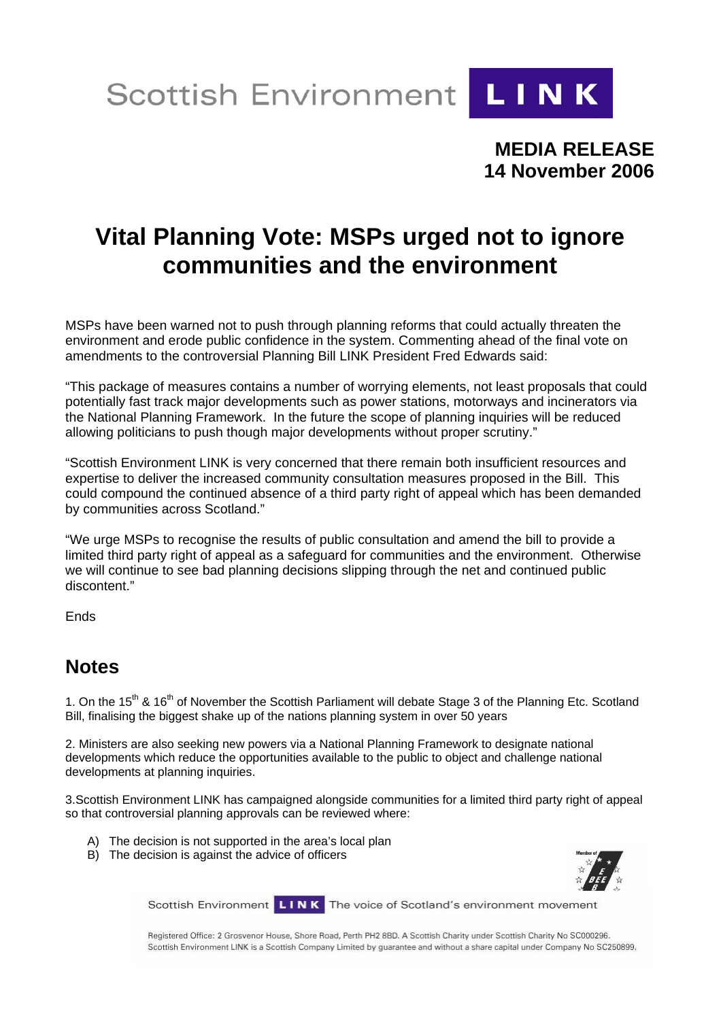Scottish Environment LINK



**MEDIA RELEASE 14 November 2006** 

## **Vital Planning Vote: MSPs urged not to ignore communities and the environment**

MSPs have been warned not to push through planning reforms that could actually threaten the environment and erode public confidence in the system. Commenting ahead of the final vote on amendments to the controversial Planning Bill LINK President Fred Edwards said:

"This package of measures contains a number of worrying elements, not least proposals that could potentially fast track major developments such as power stations, motorways and incinerators via the National Planning Framework. In the future the scope of planning inquiries will be reduced allowing politicians to push though major developments without proper scrutiny."

"Scottish Environment LINK is very concerned that there remain both insufficient resources and expertise to deliver the increased community consultation measures proposed in the Bill. This could compound the continued absence of a third party right of appeal which has been demanded by communities across Scotland."

"We urge MSPs to recognise the results of public consultation and amend the bill to provide a limited third party right of appeal as a safeguard for communities and the environment. Otherwise we will continue to see bad planning decisions slipping through the net and continued public discontent."

Ends

## **Notes**

1. On the 15<sup>th</sup> & 16<sup>th</sup> of November the Scottish Parliament will debate Stage 3 of the Planning Etc. Scotland Bill, finalising the biggest shake up of the nations planning system in over 50 years

2. Ministers are also seeking new powers via a National Planning Framework to designate national developments which reduce the opportunities available to the public to object and challenge national developments at planning inquiries.

3.Scottish Environment LINK has campaigned alongside communities for a limited third party right of appeal so that controversial planning approvals can be reviewed where:

- A) The decision is not supported in the area's local plan
- B) The decision is against the advice of officers



Scottish Environment LINK The voice of Scotland's environment movement

Registered Office: 2 Grosvenor House, Shore Road, Perth PH2 8BD. A Scottish Charity under Scottish Charity No SC000296. Scottish Environment LINK is a Scottish Company Limited by guarantee and without a share capital under Company No SC250899.